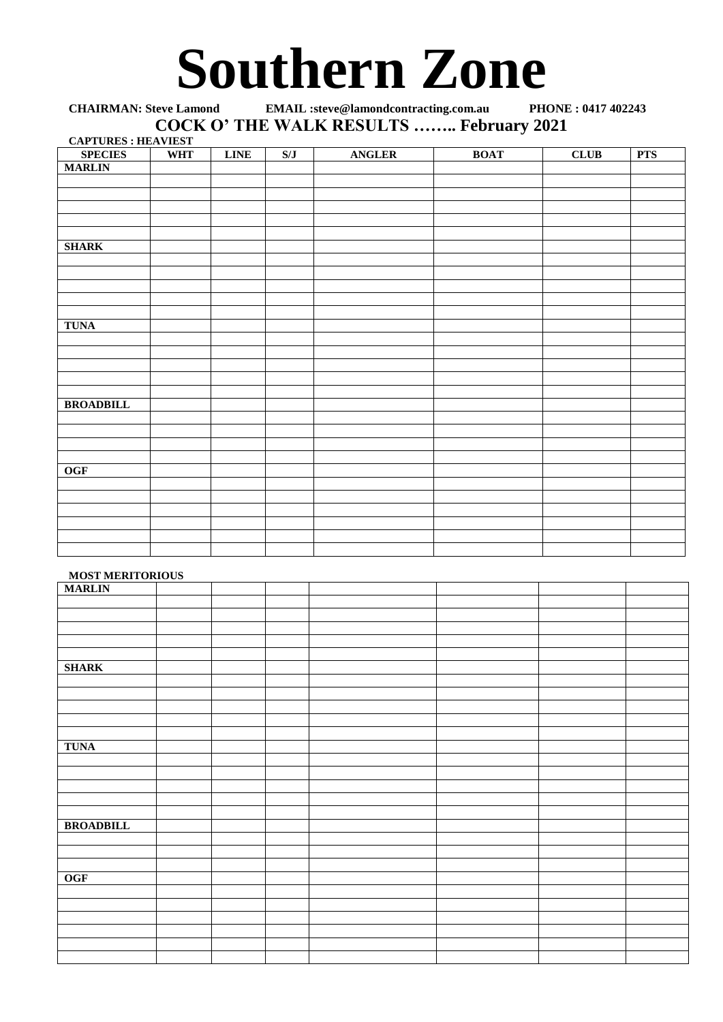## **Southern Zone**

**CHAIRMAN: Steve Lamond EMAIL :steve@lamondcontracting.com.au PHONE : 0417 402243 COCK O' THE WALK RESULTS …….. February 2021**

| <b>CAPTURES : HEAVIEST</b> |            |             |     |               |             |             |            |
|----------------------------|------------|-------------|-----|---------------|-------------|-------------|------------|
| <b>SPECIES</b>             | <b>WHT</b> | <b>LINE</b> | S/J | <b>ANGLER</b> | <b>BOAT</b> | <b>CLUB</b> | <b>PTS</b> |
| <b>MARLIN</b>              |            |             |     |               |             |             |            |
|                            |            |             |     |               |             |             |            |
|                            |            |             |     |               |             |             |            |
|                            |            |             |     |               |             |             |            |
|                            |            |             |     |               |             |             |            |
|                            |            |             |     |               |             |             |            |
| <b>SHARK</b>               |            |             |     |               |             |             |            |
|                            |            |             |     |               |             |             |            |
|                            |            |             |     |               |             |             |            |
|                            |            |             |     |               |             |             |            |
|                            |            |             |     |               |             |             |            |
|                            |            |             |     |               |             |             |            |
| <b>TUNA</b>                |            |             |     |               |             |             |            |
|                            |            |             |     |               |             |             |            |
|                            |            |             |     |               |             |             |            |
|                            |            |             |     |               |             |             |            |
|                            |            |             |     |               |             |             |            |
|                            |            |             |     |               |             |             |            |
| <b>BROADBILL</b>           |            |             |     |               |             |             |            |
|                            |            |             |     |               |             |             |            |
|                            |            |             |     |               |             |             |            |
|                            |            |             |     |               |             |             |            |
|                            |            |             |     |               |             |             |            |
| OGF                        |            |             |     |               |             |             |            |
|                            |            |             |     |               |             |             |            |
|                            |            |             |     |               |             |             |            |
|                            |            |             |     |               |             |             |            |
|                            |            |             |     |               |             |             |            |
|                            |            |             |     |               |             |             |            |
|                            |            |             |     |               |             |             |            |

## **MOST MERITORIOUS**

| <b>MARLIN</b>    | ------- |  |  |  |
|------------------|---------|--|--|--|
|                  |         |  |  |  |
|                  |         |  |  |  |
|                  |         |  |  |  |
|                  |         |  |  |  |
|                  |         |  |  |  |
| <b>SHARK</b>     |         |  |  |  |
|                  |         |  |  |  |
|                  |         |  |  |  |
|                  |         |  |  |  |
|                  |         |  |  |  |
|                  |         |  |  |  |
| <b>TUNA</b>      |         |  |  |  |
|                  |         |  |  |  |
|                  |         |  |  |  |
|                  |         |  |  |  |
|                  |         |  |  |  |
|                  |         |  |  |  |
| <b>BROADBILL</b> |         |  |  |  |
|                  |         |  |  |  |
|                  |         |  |  |  |
|                  |         |  |  |  |
| OGF              |         |  |  |  |
|                  |         |  |  |  |
|                  |         |  |  |  |
|                  |         |  |  |  |
|                  |         |  |  |  |
|                  |         |  |  |  |
|                  |         |  |  |  |